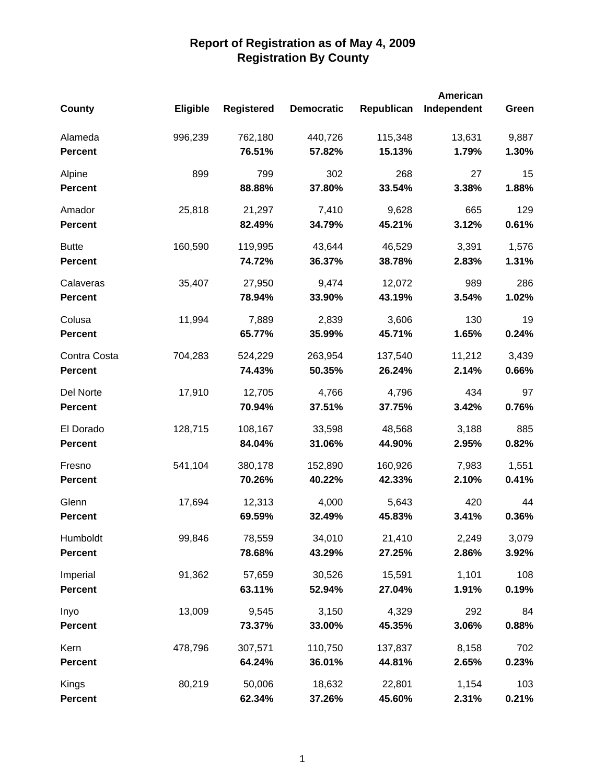|                |                 |                   |                   |            | <b>American</b> |       |
|----------------|-----------------|-------------------|-------------------|------------|-----------------|-------|
| County         | <b>Eligible</b> | <b>Registered</b> | <b>Democratic</b> | Republican | Independent     | Green |
| Alameda        | 996,239         | 762,180           | 440,726           | 115,348    | 13,631          | 9,887 |
| <b>Percent</b> |                 | 76.51%            | 57.82%            | 15.13%     | 1.79%           | 1.30% |
| Alpine         | 899             | 799               | 302               | 268        | 27              | 15    |
| <b>Percent</b> |                 | 88.88%            | 37.80%            | 33.54%     | 3.38%           | 1.88% |
| Amador         | 25,818          | 21,297            | 7,410             | 9,628      | 665             | 129   |
| <b>Percent</b> |                 | 82.49%            | 34.79%            | 45.21%     | 3.12%           | 0.61% |
| <b>Butte</b>   | 160,590         | 119,995           | 43,644            | 46,529     | 3,391           | 1,576 |
| <b>Percent</b> |                 | 74.72%            | 36.37%            | 38.78%     | 2.83%           | 1.31% |
| Calaveras      | 35,407          | 27,950            | 9,474             | 12,072     | 989             | 286   |
| <b>Percent</b> |                 | 78.94%            | 33.90%            | 43.19%     | 3.54%           | 1.02% |
| Colusa         | 11,994          | 7,889             | 2,839             | 3,606      | 130             | 19    |
| <b>Percent</b> |                 | 65.77%            | 35.99%            | 45.71%     | 1.65%           | 0.24% |
| Contra Costa   | 704,283         | 524,229           | 263,954           | 137,540    | 11,212          | 3,439 |
| <b>Percent</b> |                 | 74.43%            | 50.35%            | 26.24%     | 2.14%           | 0.66% |
| Del Norte      | 17,910          | 12,705            | 4,766             | 4,796      | 434             | 97    |
| <b>Percent</b> |                 | 70.94%            | 37.51%            | 37.75%     | 3.42%           | 0.76% |
| El Dorado      | 128,715         | 108,167           | 33,598            | 48,568     | 3,188           | 885   |
| <b>Percent</b> |                 | 84.04%            | 31.06%            | 44.90%     | 2.95%           | 0.82% |
| Fresno         | 541,104         | 380,178           | 152,890           | 160,926    | 7,983           | 1,551 |
| <b>Percent</b> |                 | 70.26%            | 40.22%            | 42.33%     | 2.10%           | 0.41% |
| Glenn          | 17,694          | 12,313            | 4,000             | 5,643      | 420             | 44    |
| <b>Percent</b> |                 | 69.59%            | 32.49%            | 45.83%     | 3.41%           | 0.36% |
| Humboldt       | 99,846          | 78,559            | 34,010            | 21,410     | 2,249           | 3,079 |
| <b>Percent</b> |                 | 78.68%            | 43.29%            | 27.25%     | 2.86%           | 3.92% |
| Imperial       | 91,362          | 57,659            | 30,526            | 15,591     | 1,101           | 108   |
| <b>Percent</b> |                 | 63.11%            | 52.94%            | 27.04%     | 1.91%           | 0.19% |
| Inyo           | 13,009          | 9,545             | 3,150             | 4,329      | 292             | 84    |
| <b>Percent</b> |                 | 73.37%            | 33.00%            | 45.35%     | 3.06%           | 0.88% |
| Kern           | 478,796         | 307,571           | 110,750           | 137,837    | 8,158           | 702   |
| <b>Percent</b> |                 | 64.24%            | 36.01%            | 44.81%     | 2.65%           | 0.23% |
| Kings          | 80,219          | 50,006            | 18,632            | 22,801     | 1,154           | 103   |
| <b>Percent</b> |                 | 62.34%            | 37.26%            | 45.60%     | 2.31%           | 0.21% |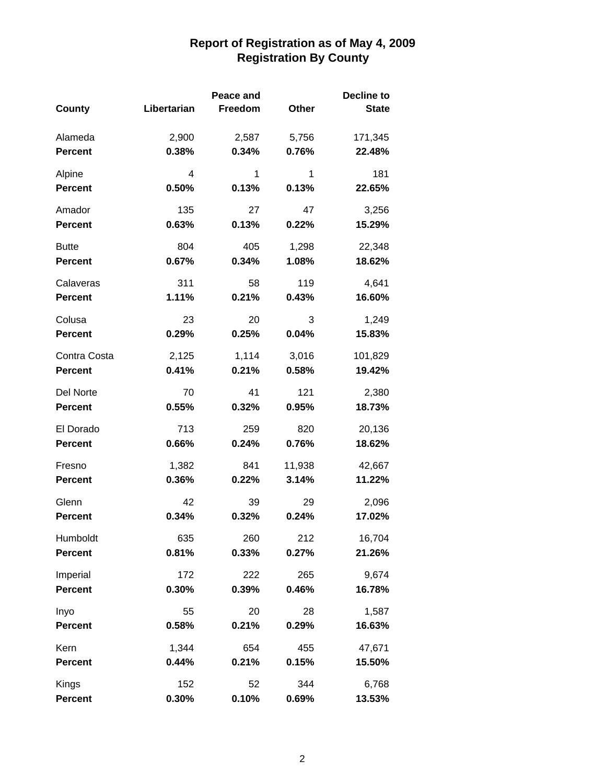|                |             | Peace and |        | <b>Decline to</b> |
|----------------|-------------|-----------|--------|-------------------|
| County         | Libertarian | Freedom   | Other  | <b>State</b>      |
|                |             |           |        |                   |
| Alameda        | 2,900       | 2,587     | 5,756  | 171,345           |
| <b>Percent</b> | 0.38%       | 0.34%     | 0.76%  | 22.48%            |
| Alpine         | 4           | 1         | 1      | 181               |
| <b>Percent</b> | 0.50%       | 0.13%     | 0.13%  | 22.65%            |
| Amador         | 135         | 27        | 47     | 3,256             |
| <b>Percent</b> | 0.63%       | 0.13%     | 0.22%  | 15.29%            |
| <b>Butte</b>   | 804         | 405       | 1,298  | 22,348            |
| <b>Percent</b> | 0.67%       | 0.34%     | 1.08%  | 18.62%            |
| Calaveras      | 311         | 58        | 119    | 4,641             |
| <b>Percent</b> | 1.11%       | 0.21%     | 0.43%  | 16.60%            |
| Colusa         | 23          | 20        | 3      | 1,249             |
| <b>Percent</b> | 0.29%       | 0.25%     | 0.04%  | 15.83%            |
| Contra Costa   | 2,125       | 1,114     | 3,016  | 101,829           |
| <b>Percent</b> | 0.41%       | 0.21%     | 0.58%  | 19.42%            |
| Del Norte      | 70          | 41        | 121    | 2,380             |
| <b>Percent</b> | 0.55%       | 0.32%     | 0.95%  | 18.73%            |
| El Dorado      | 713         | 259       | 820    | 20,136            |
| <b>Percent</b> | 0.66%       | 0.24%     | 0.76%  | 18.62%            |
| Fresno         | 1,382       | 841       | 11,938 | 42,667            |
| <b>Percent</b> | 0.36%       | 0.22%     | 3.14%  | 11.22%            |
| Glenn          | 42          | 39        | 29     | 2,096             |
| <b>Percent</b> | 0.34%       | 0.32%     | 0.24%  | 17.02%            |
| Humboldt       | 635         | 260       | 212    | 16,704            |
| <b>Percent</b> | 0.81%       | 0.33%     | 0.27%  | 21.26%            |
| Imperial       | 172         | 222       | 265    | 9,674             |
| <b>Percent</b> | 0.30%       | 0.39%     | 0.46%  | 16.78%            |
| Inyo           | 55          | 20        | 28     | 1,587             |
| <b>Percent</b> | 0.58%       | 0.21%     | 0.29%  | 16.63%            |
| Kern           | 1,344       | 654       | 455    | 47,671            |
| Percent        | 0.44%       | 0.21%     | 0.15%  | 15.50%            |
| Kings          | 152         | 52        | 344    | 6,768             |
| Percent        | 0.30%       | 0.10%     | 0.69%  | 13.53%            |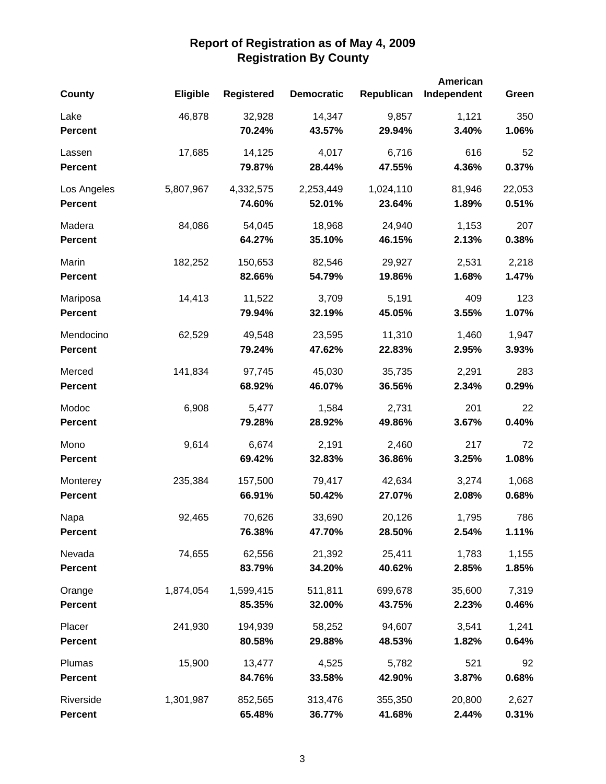|                |                 |                   |                   |            | American    |        |
|----------------|-----------------|-------------------|-------------------|------------|-------------|--------|
| County         | <b>Eligible</b> | <b>Registered</b> | <b>Democratic</b> | Republican | Independent | Green  |
| Lake           | 46,878          | 32,928            | 14,347            | 9,857      | 1,121       | 350    |
| <b>Percent</b> |                 | 70.24%            | 43.57%            | 29.94%     | 3.40%       | 1.06%  |
| Lassen         | 17,685          | 14,125            | 4,017             | 6,716      | 616         | 52     |
| <b>Percent</b> |                 | 79.87%            | 28.44%            | 47.55%     | 4.36%       | 0.37%  |
| Los Angeles    | 5,807,967       | 4,332,575         | 2,253,449         | 1,024,110  | 81,946      | 22,053 |
| <b>Percent</b> |                 | 74.60%            | 52.01%            | 23.64%     | 1.89%       | 0.51%  |
| Madera         | 84,086          | 54,045            | 18,968            | 24,940     | 1,153       | 207    |
| <b>Percent</b> |                 | 64.27%            | 35.10%            | 46.15%     | 2.13%       | 0.38%  |
| Marin          | 182,252         | 150,653           | 82,546            | 29,927     | 2,531       | 2,218  |
| <b>Percent</b> |                 | 82.66%            | 54.79%            | 19.86%     | 1.68%       | 1.47%  |
| Mariposa       | 14,413          | 11,522            | 3,709             | 5,191      | 409         | 123    |
| <b>Percent</b> |                 | 79.94%            | 32.19%            | 45.05%     | 3.55%       | 1.07%  |
| Mendocino      | 62,529          | 49,548            | 23,595            | 11,310     | 1,460       | 1,947  |
| <b>Percent</b> |                 | 79.24%            | 47.62%            | 22.83%     | 2.95%       | 3.93%  |
| Merced         | 141,834         | 97,745            | 45,030            | 35,735     | 2,291       | 283    |
| <b>Percent</b> |                 | 68.92%            | 46.07%            | 36.56%     | 2.34%       | 0.29%  |
| Modoc          | 6,908           | 5,477             | 1,584             | 2,731      | 201         | 22     |
| <b>Percent</b> |                 | 79.28%            | 28.92%            | 49.86%     | 3.67%       | 0.40%  |
| Mono           | 9,614           | 6,674             | 2,191             | 2,460      | 217         | 72     |
| <b>Percent</b> |                 | 69.42%            | 32.83%            | 36.86%     | 3.25%       | 1.08%  |
| Monterey       | 235,384         | 157,500           | 79,417            | 42,634     | 3,274       | 1,068  |
| <b>Percent</b> |                 | 66.91%            | 50.42%            | 27.07%     | 2.08%       | 0.68%  |
| Napa           | 92,465          | 70,626            | 33,690            | 20,126     | 1,795       | 786    |
| <b>Percent</b> |                 | 76.38%            | 47.70%            | 28.50%     | 2.54%       | 1.11%  |
| Nevada         | 74,655          | 62,556            | 21,392            | 25,411     | 1,783       | 1,155  |
| <b>Percent</b> |                 | 83.79%            | 34.20%            | 40.62%     | 2.85%       | 1.85%  |
| Orange         | 1,874,054       | 1,599,415         | 511,811           | 699,678    | 35,600      | 7,319  |
| <b>Percent</b> |                 | 85.35%            | 32.00%            | 43.75%     | 2.23%       | 0.46%  |
| Placer         | 241,930         | 194,939           | 58,252            | 94,607     | 3,541       | 1,241  |
| <b>Percent</b> |                 | 80.58%            | 29.88%            | 48.53%     | 1.82%       | 0.64%  |
| Plumas         | 15,900          | 13,477            | 4,525             | 5,782      | 521         | 92     |
| <b>Percent</b> |                 | 84.76%            | 33.58%            | 42.90%     | 3.87%       | 0.68%  |
| Riverside      | 1,301,987       | 852,565           | 313,476           | 355,350    | 20,800      | 2,627  |
| <b>Percent</b> |                 | 65.48%            | 36.77%            | 41.68%     | 2.44%       | 0.31%  |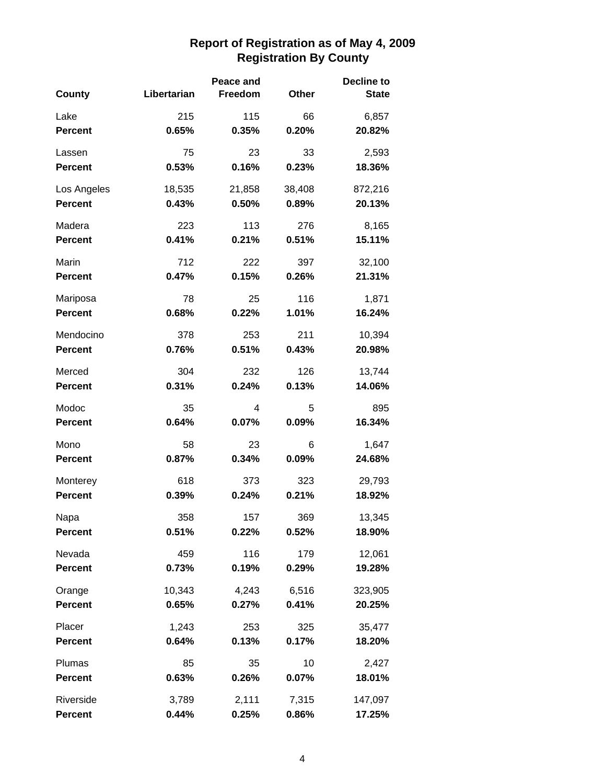|                |             | Peace and |        | <b>Decline to</b> |
|----------------|-------------|-----------|--------|-------------------|
| County         | Libertarian | Freedom   | Other  | <b>State</b>      |
| Lake           | 215         | 115       | 66     | 6,857             |
| <b>Percent</b> | 0.65%       | 0.35%     | 0.20%  | 20.82%            |
| Lassen         | 75          | 23        | 33     | 2,593             |
| <b>Percent</b> | 0.53%       | 0.16%     | 0.23%  | 18.36%            |
| Los Angeles    | 18,535      | 21,858    | 38,408 | 872,216           |
| <b>Percent</b> | 0.43%       | 0.50%     | 0.89%  | 20.13%            |
| Madera         | 223         | 113       | 276    | 8,165             |
| <b>Percent</b> | 0.41%       | 0.21%     | 0.51%  | 15.11%            |
| Marin          | 712         | 222       | 397    | 32,100            |
| <b>Percent</b> | 0.47%       | 0.15%     | 0.26%  | 21.31%            |
| Mariposa       | 78          | 25        | 116    | 1,871             |
| <b>Percent</b> | 0.68%       | 0.22%     | 1.01%  | 16.24%            |
| Mendocino      | 378         | 253       | 211    | 10,394            |
| <b>Percent</b> | 0.76%       | 0.51%     | 0.43%  | 20.98%            |
| Merced         | 304         | 232       | 126    | 13,744            |
| <b>Percent</b> | 0.31%       | 0.24%     | 0.13%  | 14.06%            |
| Modoc          | 35          | 4         | 5      | 895               |
| <b>Percent</b> | 0.64%       | 0.07%     | 0.09%  | 16.34%            |
| Mono           | 58          | 23        | 6      | 1,647             |
| <b>Percent</b> | 0.87%       | 0.34%     | 0.09%  | 24.68%            |
| Monterey       | 618         | 373       | 323    | 29,793            |
| <b>Percent</b> | 0.39%       | 0.24%     | 0.21%  | 18.92%            |
| Napa           | 358         | 157       | 369    | 13,345            |
| <b>Percent</b> | 0.51%       | 0.22%     | 0.52%  | 18.90%            |
| Nevada         | 459         | 116       | 179    | 12,061            |
| <b>Percent</b> | 0.73%       | 0.19%     | 0.29%  | 19.28%            |
| Orange         | 10,343      | 4,243     | 6,516  | 323,905           |
| <b>Percent</b> | 0.65%       | 0.27%     | 0.41%  | 20.25%            |
| Placer         | 1,243       | 253       | 325    | 35,477            |
| <b>Percent</b> | 0.64%       | 0.13%     | 0.17%  | 18.20%            |
| Plumas         | 85          | 35        | 10     | 2,427             |
| <b>Percent</b> | 0.63%       | 0.26%     | 0.07%  | 18.01%            |
| Riverside      | 3,789       | 2,111     | 7,315  | 147,097           |
| <b>Percent</b> | 0.44%       | 0.25%     | 0.86%  | 17.25%            |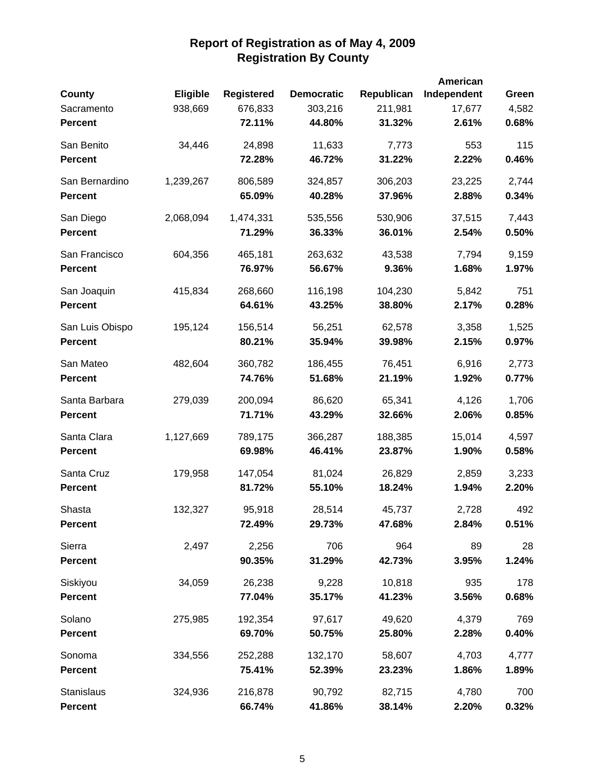|                 |                 |                   |                   |            | American    |       |
|-----------------|-----------------|-------------------|-------------------|------------|-------------|-------|
| <b>County</b>   | <b>Eligible</b> | <b>Registered</b> | <b>Democratic</b> | Republican | Independent | Green |
| Sacramento      | 938,669         | 676,833           | 303,216           | 211,981    | 17,677      | 4,582 |
| <b>Percent</b>  |                 | 72.11%            | 44.80%            | 31.32%     | 2.61%       | 0.68% |
| San Benito      | 34,446          | 24,898            | 11,633            | 7,773      | 553         | 115   |
| <b>Percent</b>  |                 | 72.28%            | 46.72%            | 31.22%     | 2.22%       | 0.46% |
| San Bernardino  | 1,239,267       | 806,589           | 324,857           | 306,203    | 23,225      | 2,744 |
| <b>Percent</b>  |                 | 65.09%            | 40.28%            | 37.96%     | 2.88%       | 0.34% |
| San Diego       | 2,068,094       | 1,474,331         | 535,556           | 530,906    | 37,515      | 7,443 |
| <b>Percent</b>  |                 | 71.29%            | 36.33%            | 36.01%     | 2.54%       | 0.50% |
| San Francisco   | 604,356         | 465,181           | 263,632           | 43,538     | 7,794       | 9,159 |
| <b>Percent</b>  |                 | 76.97%            | 56.67%            | 9.36%      | 1.68%       | 1.97% |
| San Joaquin     | 415,834         | 268,660           | 116,198           | 104,230    | 5,842       | 751   |
| <b>Percent</b>  |                 | 64.61%            | 43.25%            | 38.80%     | 2.17%       | 0.28% |
| San Luis Obispo | 195,124         | 156,514           | 56,251            | 62,578     | 3,358       | 1,525 |
| <b>Percent</b>  |                 | 80.21%            | 35.94%            | 39.98%     | 2.15%       | 0.97% |
| San Mateo       | 482,604         | 360,782           | 186,455           | 76,451     | 6,916       | 2,773 |
| <b>Percent</b>  |                 | 74.76%            | 51.68%            | 21.19%     | 1.92%       | 0.77% |
| Santa Barbara   | 279,039         | 200,094           | 86,620            | 65,341     | 4,126       | 1,706 |
| <b>Percent</b>  |                 | 71.71%            | 43.29%            | 32.66%     | 2.06%       | 0.85% |
| Santa Clara     | 1,127,669       | 789,175           | 366,287           | 188,385    | 15,014      | 4,597 |
| <b>Percent</b>  |                 | 69.98%            | 46.41%            | 23.87%     | 1.90%       | 0.58% |
| Santa Cruz      | 179,958         | 147,054           | 81,024            | 26,829     | 2,859       | 3,233 |
| <b>Percent</b>  |                 | 81.72%            | 55.10%            | 18.24%     | 1.94%       | 2.20% |
| Shasta          | 132,327         | 95,918            | 28,514            | 45,737     | 2,728       | 492   |
| <b>Percent</b>  |                 | 72.49%            | 29.73%            | 47.68%     | 2.84%       | 0.51% |
| Sierra          | 2,497           | 2,256             | 706               | 964        | 89          | 28    |
| <b>Percent</b>  |                 | 90.35%            | 31.29%            | 42.73%     | 3.95%       | 1.24% |
| Siskiyou        | 34,059          | 26,238            | 9,228             | 10,818     | 935         | 178   |
| <b>Percent</b>  |                 | 77.04%            | 35.17%            | 41.23%     | 3.56%       | 0.68% |
| Solano          | 275,985         | 192,354           | 97,617            | 49,620     | 4,379       | 769   |
| <b>Percent</b>  |                 | 69.70%            | 50.75%            | 25.80%     | 2.28%       | 0.40% |
| Sonoma          | 334,556         | 252,288           | 132,170           | 58,607     | 4,703       | 4,777 |
| <b>Percent</b>  |                 | 75.41%            | 52.39%            | 23.23%     | 1.86%       | 1.89% |
| Stanislaus      | 324,936         | 216,878           | 90,792            | 82,715     | 4,780       | 700   |
| <b>Percent</b>  |                 | 66.74%            | 41.86%            | 38.14%     | 2.20%       | 0.32% |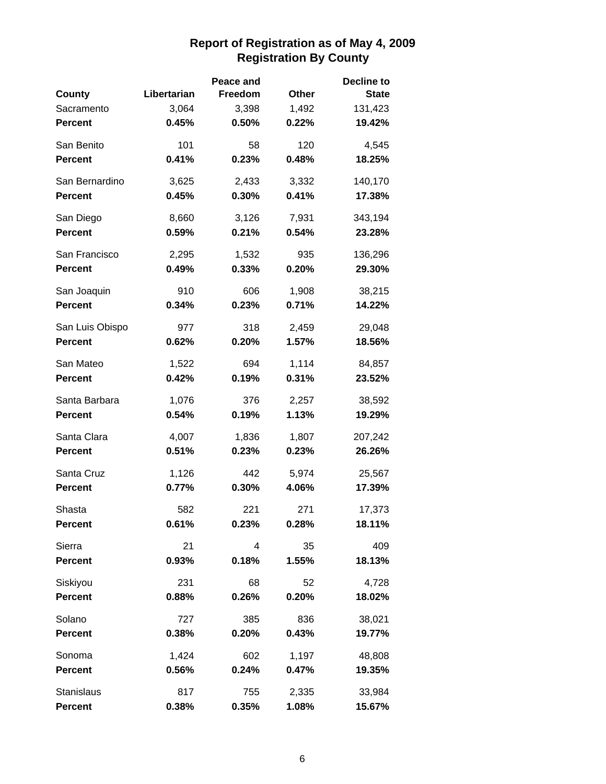|                 |             | Peace and |       | <b>Decline to</b> |
|-----------------|-------------|-----------|-------|-------------------|
| County          | Libertarian | Freedom   | Other | <b>State</b>      |
| Sacramento      | 3,064       | 3,398     | 1,492 | 131,423           |
| <b>Percent</b>  | 0.45%       | 0.50%     | 0.22% | 19.42%            |
| San Benito      | 101         | 58        | 120   | 4,545             |
| <b>Percent</b>  | 0.41%       | 0.23%     | 0.48% | 18.25%            |
| San Bernardino  | 3,625       | 2,433     | 3,332 | 140,170           |
| <b>Percent</b>  | 0.45%       | 0.30%     | 0.41% | 17.38%            |
| San Diego       | 8,660       | 3,126     | 7,931 | 343,194           |
| <b>Percent</b>  | 0.59%       | 0.21%     | 0.54% | 23.28%            |
| San Francisco   | 2,295       | 1,532     | 935   | 136,296           |
| <b>Percent</b>  | 0.49%       | 0.33%     | 0.20% | 29.30%            |
| San Joaquin     | 910         | 606       | 1,908 | 38,215            |
| <b>Percent</b>  | 0.34%       | 0.23%     | 0.71% | 14.22%            |
| San Luis Obispo | 977         | 318       | 2,459 | 29,048            |
| <b>Percent</b>  | 0.62%       | 0.20%     | 1.57% | 18.56%            |
| San Mateo       | 1,522       | 694       | 1,114 | 84,857            |
| <b>Percent</b>  | 0.42%       | 0.19%     | 0.31% | 23.52%            |
| Santa Barbara   | 1,076       | 376       | 2,257 | 38,592            |
| <b>Percent</b>  | 0.54%       | 0.19%     | 1.13% | 19.29%            |
| Santa Clara     | 4,007       | 1,836     | 1,807 | 207,242           |
| <b>Percent</b>  | 0.51%       | 0.23%     | 0.23% | 26.26%            |
| Santa Cruz      | 1,126       | 442       | 5,974 | 25,567            |
| <b>Percent</b>  | 0.77%       | 0.30%     | 4.06% | 17.39%            |
| Shasta          | 582         | 221       | 271   | 17,373            |
| <b>Percent</b>  | 0.61%       | 0.23%     | 0.28% | 18.11%            |
| Sierra          | 21          | 4         | 35    | 409               |
| <b>Percent</b>  | 0.93%       | 0.18%     | 1.55% | 18.13%            |
| Siskiyou        | 231         | 68        | 52    | 4,728             |
| <b>Percent</b>  | 0.88%       | 0.26%     | 0.20% | 18.02%            |
| Solano          | 727         | 385       | 836   | 38,021            |
| <b>Percent</b>  | 0.38%       | 0.20%     | 0.43% | 19.77%            |
| Sonoma          | 1,424       | 602       | 1,197 | 48,808            |
| <b>Percent</b>  | 0.56%       | 0.24%     | 0.47% | 19.35%            |
| Stanislaus      | 817         | 755       | 2,335 | 33,984            |
| Percent         | 0.38%       | 0.35%     | 1.08% | 15.67%            |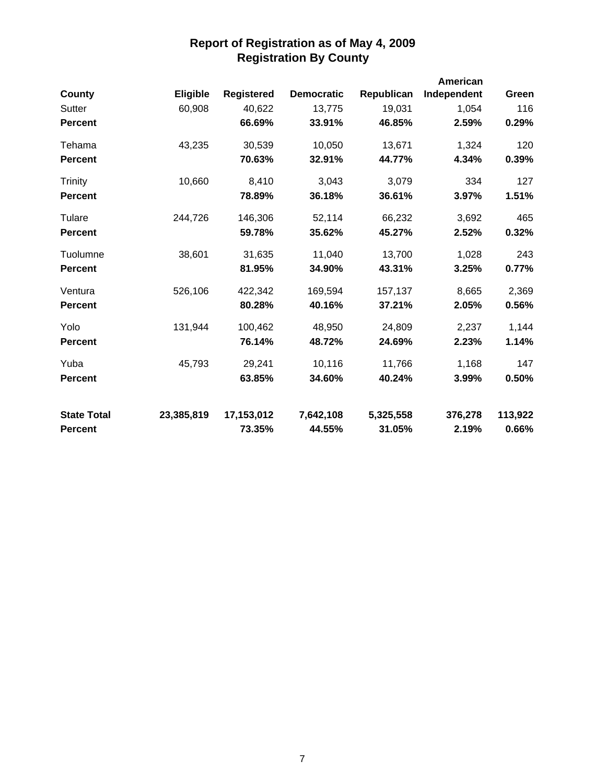|                    |                 |                   |                   |            | American    |         |
|--------------------|-----------------|-------------------|-------------------|------------|-------------|---------|
| <b>County</b>      | <b>Eligible</b> | <b>Registered</b> | <b>Democratic</b> | Republican | Independent | Green   |
| Sutter             | 60,908          | 40,622            | 13,775            | 19,031     | 1,054       | 116     |
| <b>Percent</b>     |                 | 66.69%            | 33.91%            | 46.85%     | 2.59%       | 0.29%   |
| Tehama             | 43,235          | 30,539            | 10,050            | 13,671     | 1,324       | 120     |
| <b>Percent</b>     |                 | 70.63%            | 32.91%            | 44.77%     | 4.34%       | 0.39%   |
| <b>Trinity</b>     | 10,660          | 8,410             | 3,043             | 3,079      | 334         | 127     |
| <b>Percent</b>     |                 | 78.89%            | 36.18%            | 36.61%     | 3.97%       | 1.51%   |
| Tulare             | 244,726         | 146,306           | 52,114            | 66,232     | 3,692       | 465     |
| <b>Percent</b>     |                 | 59.78%            | 35.62%            | 45.27%     | 2.52%       | 0.32%   |
| Tuolumne           | 38,601          | 31,635            | 11,040            | 13,700     | 1,028       | 243     |
| <b>Percent</b>     |                 | 81.95%            | 34.90%            | 43.31%     | 3.25%       | 0.77%   |
| Ventura            | 526,106         | 422,342           | 169,594           | 157,137    | 8,665       | 2,369   |
| <b>Percent</b>     |                 | 80.28%            | 40.16%            | 37.21%     | 2.05%       | 0.56%   |
| Yolo               | 131,944         | 100,462           | 48,950            | 24,809     | 2,237       | 1,144   |
| <b>Percent</b>     |                 | 76.14%            | 48.72%            | 24.69%     | 2.23%       | 1.14%   |
| Yuba               | 45,793          | 29,241            | 10,116            | 11,766     | 1,168       | 147     |
| <b>Percent</b>     |                 | 63.85%            | 34.60%            | 40.24%     | 3.99%       | 0.50%   |
| <b>State Total</b> | 23,385,819      | 17,153,012        | 7,642,108         | 5,325,558  | 376,278     | 113,922 |
| <b>Percent</b>     |                 | 73.35%            | 44.55%            | 31.05%     | 2.19%       | 0.66%   |